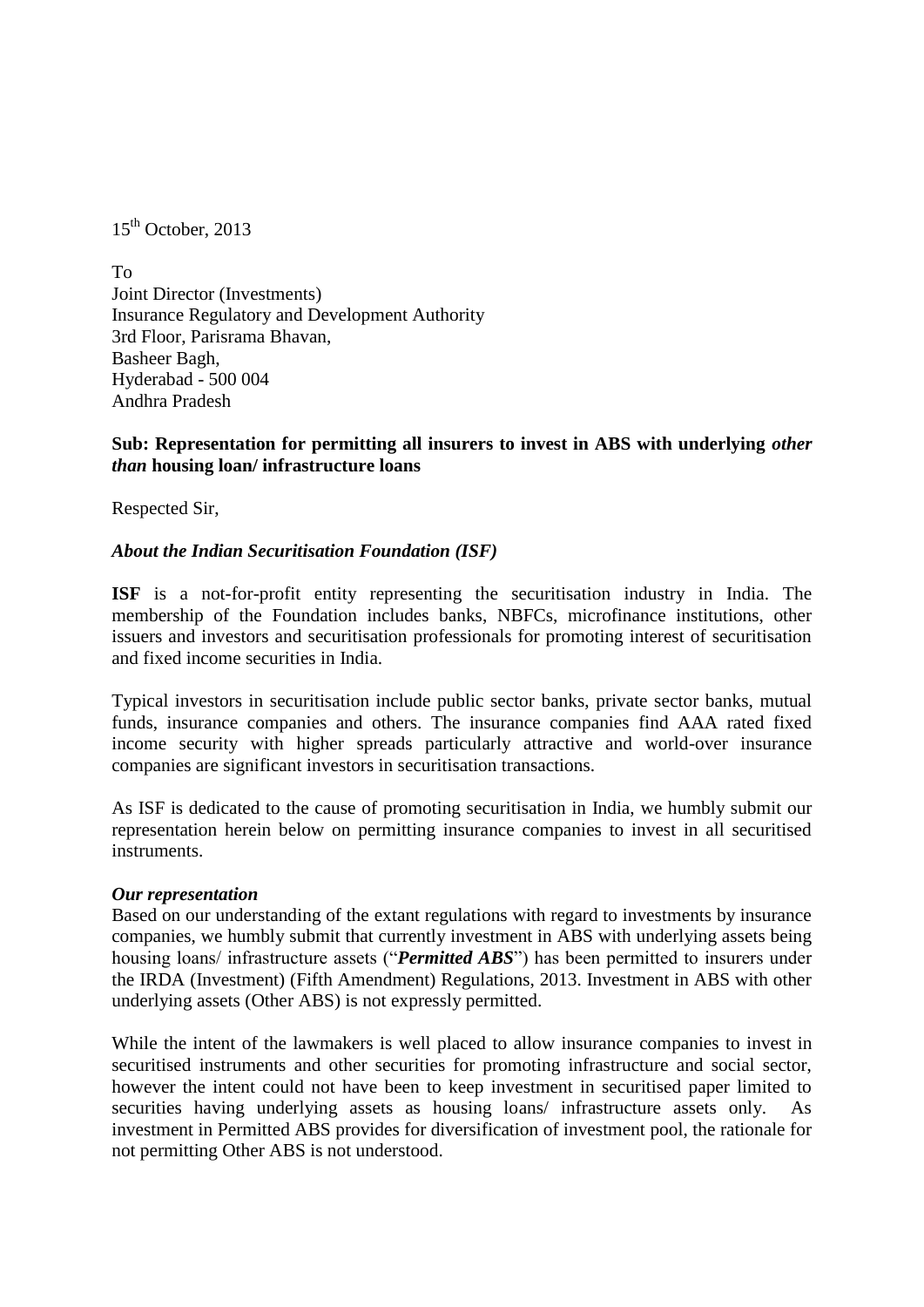$15<sup>th</sup>$  October, 2013

To Joint Director (Investments) Insurance Regulatory and Development Authority 3rd Floor, Parisrama Bhavan, Basheer Bagh, Hyderabad - 500 004 Andhra Pradesh

## **Sub: Representation for permitting all insurers to invest in ABS with underlying** *other than* **housing loan/ infrastructure loans**

Respected Sir,

### *About the Indian Securitisation Foundation (ISF)*

**ISF** is a not-for-profit entity representing the securitisation industry in India. The membership of the Foundation includes banks, NBFCs, microfinance institutions, other issuers and investors and securitisation professionals for promoting interest of securitisation and fixed income securities in India.

Typical investors in securitisation include public sector banks, private sector banks, mutual funds, insurance companies and others. The insurance companies find AAA rated fixed income security with higher spreads particularly attractive and world-over insurance companies are significant investors in securitisation transactions.

As ISF is dedicated to the cause of promoting securitisation in India, we humbly submit our representation herein below on permitting insurance companies to invest in all securitised instruments.

#### *Our representation*

Based on our understanding of the extant regulations with regard to investments by insurance companies, we humbly submit that currently investment in ABS with underlying assets being housing loans/ infrastructure assets ("*Permitted ABS*") has been permitted to insurers under the IRDA (Investment) (Fifth Amendment) Regulations, 2013. Investment in ABS with other underlying assets (Other ABS) is not expressly permitted.

While the intent of the lawmakers is well placed to allow insurance companies to invest in securitised instruments and other securities for promoting infrastructure and social sector, however the intent could not have been to keep investment in securitised paper limited to securities having underlying assets as housing loans/ infrastructure assets only. As investment in Permitted ABS provides for diversification of investment pool, the rationale for not permitting Other ABS is not understood.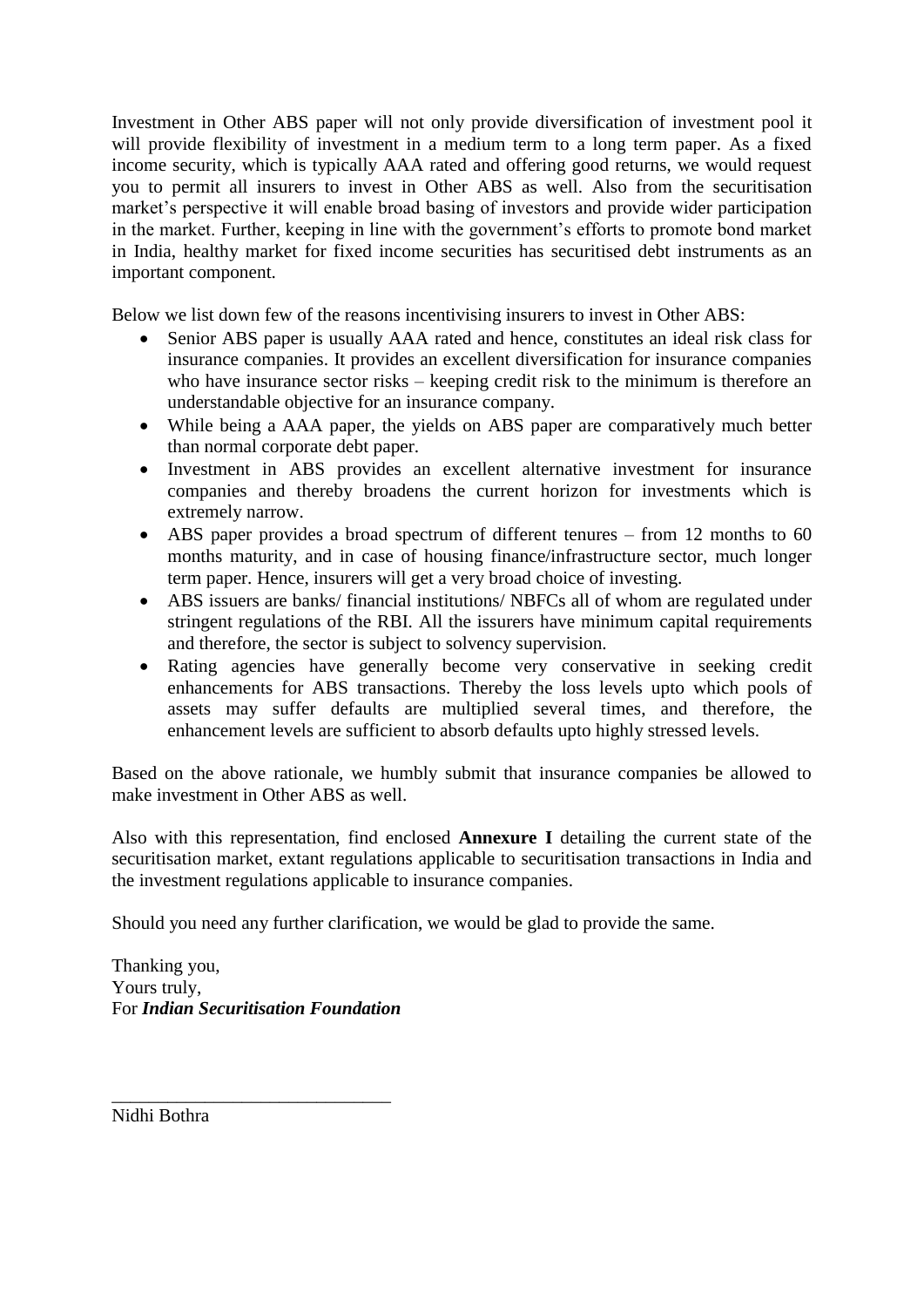Investment in Other ABS paper will not only provide diversification of investment pool it will provide flexibility of investment in a medium term to a long term paper. As a fixed income security, which is typically AAA rated and offering good returns, we would request you to permit all insurers to invest in Other ABS as well. Also from the securitisation market's perspective it will enable broad basing of investors and provide wider participation in the market. Further, keeping in line with the government's efforts to promote bond market in India, healthy market for fixed income securities has securitised debt instruments as an important component.

Below we list down few of the reasons incentivising insurers to invest in Other ABS:

- Senior ABS paper is usually AAA rated and hence, constitutes an ideal risk class for insurance companies. It provides an excellent diversification for insurance companies who have insurance sector risks – keeping credit risk to the minimum is therefore an understandable objective for an insurance company.
- While being a AAA paper, the yields on ABS paper are comparatively much better than normal corporate debt paper.
- Investment in ABS provides an excellent alternative investment for insurance companies and thereby broadens the current horizon for investments which is extremely narrow.
- ABS paper provides a broad spectrum of different tenures from 12 months to 60 months maturity, and in case of housing finance/infrastructure sector, much longer term paper. Hence, insurers will get a very broad choice of investing.
- ABS issuers are banks/ financial institutions/ NBFCs all of whom are regulated under stringent regulations of the RBI. All the issurers have minimum capital requirements and therefore, the sector is subject to solvency supervision.
- Rating agencies have generally become very conservative in seeking credit enhancements for ABS transactions. Thereby the loss levels upto which pools of assets may suffer defaults are multiplied several times, and therefore, the enhancement levels are sufficient to absorb defaults upto highly stressed levels.

Based on the above rationale, we humbly submit that insurance companies be allowed to make investment in Other ABS as well.

Also with this representation, find enclosed **Annexure I** detailing the current state of the securitisation market, extant regulations applicable to securitisation transactions in India and the investment regulations applicable to insurance companies.

Should you need any further clarification, we would be glad to provide the same.

Thanking you, Yours truly, For *Indian Securitisation Foundation*

\_\_\_\_\_\_\_\_\_\_\_\_\_\_\_\_\_\_\_\_\_\_\_\_\_\_\_\_\_\_

Nidhi Bothra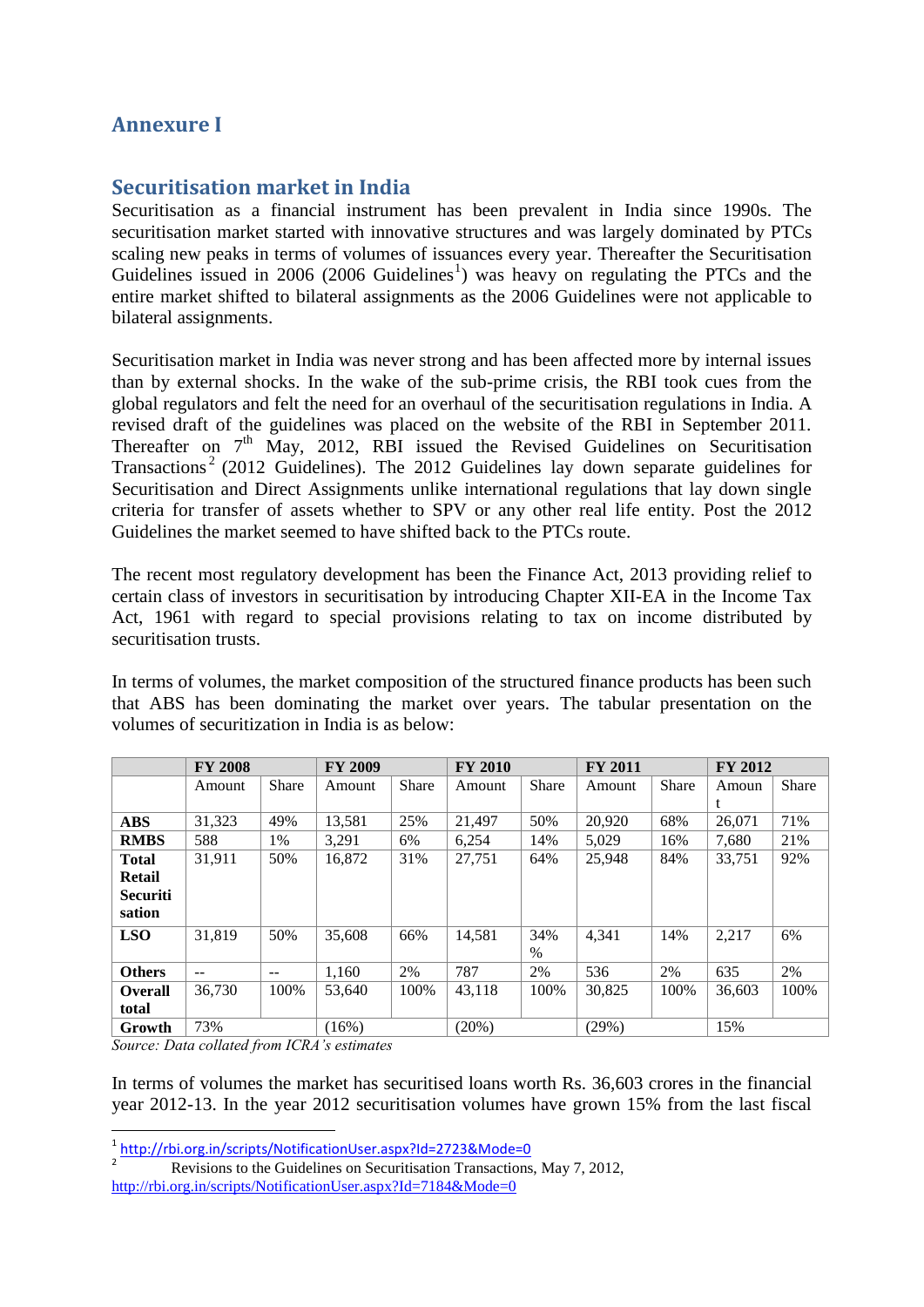# **Annexure I**

## **Securitisation market in India**

Securitisation as a financial instrument has been prevalent in India since 1990s. The securitisation market started with innovative structures and was largely dominated by PTCs scaling new peaks in terms of volumes of issuances every year. Thereafter the Securitisation Guidelines issued in 2006 (2006 Guidelines<sup>1</sup>) was heavy on regulating the PTCs and the entire market shifted to bilateral assignments as the 2006 Guidelines were not applicable to bilateral assignments.

Securitisation market in India was never strong and has been affected more by internal issues than by external shocks. In the wake of the sub-prime crisis, the RBI took cues from the global regulators and felt the need for an overhaul of the securitisation regulations in India. A revised draft of the guidelines was placed on the website of the RBI in September 2011. Thereafter on  $7<sup>th</sup>$  May, 2012, RBI issued the Revised Guidelines on Securitisation Transactions<sup>2</sup> (2012 Guidelines). The 2012 Guidelines lay down separate guidelines for Securitisation and Direct Assignments unlike international regulations that lay down single criteria for transfer of assets whether to SPV or any other real life entity. Post the 2012 Guidelines the market seemed to have shifted back to the PTCs route.

The recent most regulatory development has been the Finance Act, 2013 providing relief to certain class of investors in securitisation by introducing Chapter XII-EA in the Income Tax Act, 1961 with regard to special provisions relating to tax on income distributed by securitisation trusts.

In terms of volumes, the market composition of the structured finance products has been such that ABS has been dominating the market over years. The tabular presentation on the volumes of securitization in India is as below:

|                 | <b>FY 2008</b> |              | <b>FY 2009</b> |              | <b>FY 2010</b> |              | <b>FY 2011</b> |              | <b>FY 2012</b> |       |
|-----------------|----------------|--------------|----------------|--------------|----------------|--------------|----------------|--------------|----------------|-------|
|                 | Amount         | <b>Share</b> | Amount         | <b>Share</b> | Amount         | <b>Share</b> | Amount         | <b>Share</b> | Amoun          | Share |
|                 |                |              |                |              |                |              |                |              |                |       |
| <b>ABS</b>      | 31,323         | 49%          | 13,581         | 25%          | 21.497         | 50%          | 20,920         | 68%          | 26,071         | 71%   |
| <b>RMBS</b>     | 588            | 1%           | 3.291          | 6%           | 6,254          | 14%          | 5.029          | 16%          | 7.680          | 21%   |
| <b>Total</b>    | 31,911         | 50%          | 16,872         | 31%          | 27,751         | 64%          | 25,948         | 84%          | 33,751         | 92%   |
| <b>Retail</b>   |                |              |                |              |                |              |                |              |                |       |
| <b>Securiti</b> |                |              |                |              |                |              |                |              |                |       |
| sation          |                |              |                |              |                |              |                |              |                |       |
| <b>LSO</b>      | 31,819         | 50%          | 35,608         | 66%          | 14,581         | 34%          | 4.341          | 14%          | 2,217          | 6%    |
|                 |                |              |                |              |                | $\%$         |                |              |                |       |
| <b>Others</b>   | $- -$          | $-$          | 1,160          | 2%           | 787            | 2%           | 536            | 2%           | 635            | 2%    |
| <b>Overall</b>  | 36,730         | 100%         | 53.640         | 100%         | 43,118         | 100%         | 30,825         | 100%         | 36,603         | 100%  |
| total           |                |              |                |              |                |              |                |              |                |       |
| Growth          | 73%            |              | (16%)          |              | (20%)          |              | (29%)          |              | 15%            |       |

*Source: Data collated from ICRA's estimates*

1

In terms of volumes the market has securitised loans worth Rs. 36,603 crores in the financial year 2012-13. In the year 2012 securitisation volumes have grown 15% from the last fiscal

 $\frac{1}{2}$  <http://rbi.org.in/scripts/NotificationUser.aspx?Id=2723&Mode=0><br>Poussions to the Guidelines on Sequrification Transactions

Revisions to the Guidelines on Securitisation Transactions, May 7, 2012, <http://rbi.org.in/scripts/NotificationUser.aspx?Id=7184&Mode=0>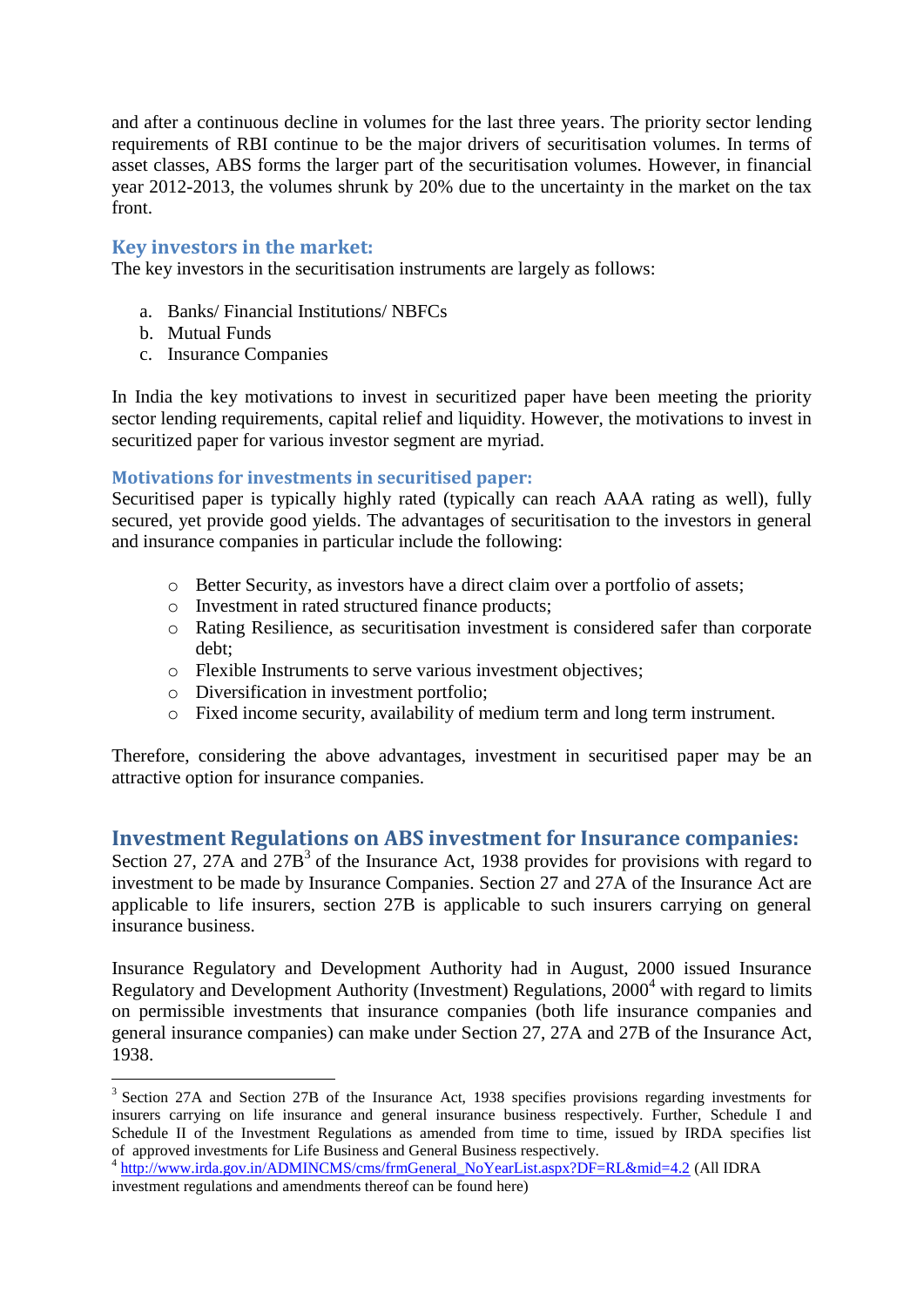and after a continuous decline in volumes for the last three years. The priority sector lending requirements of RBI continue to be the major drivers of securitisation volumes. In terms of asset classes, ABS forms the larger part of the securitisation volumes. However, in financial year 2012-2013, the volumes shrunk by 20% due to the uncertainty in the market on the tax front.

## **Key investors in the market:**

The key investors in the securitisation instruments are largely as follows:

- a. Banks/ Financial Institutions/ NBFCs
- b. Mutual Funds

1

c. Insurance Companies

In India the key motivations to invest in securitized paper have been meeting the priority sector lending requirements, capital relief and liquidity. However, the motivations to invest in securitized paper for various investor segment are myriad.

## **Motivations for investments in securitised paper:**

Securitised paper is typically highly rated (typically can reach AAA rating as well), fully secured, yet provide good yields. The advantages of securitisation to the investors in general and insurance companies in particular include the following:

- o Better Security, as investors have a direct claim over a portfolio of assets;
- o Investment in rated structured finance products;
- o Rating Resilience, as securitisation investment is considered safer than corporate debt;
- o Flexible Instruments to serve various investment objectives;
- o Diversification in investment portfolio;
- o Fixed income security, availability of medium term and long term instrument.

Therefore, considering the above advantages, investment in securitised paper may be an attractive option for insurance companies.

## **Investment Regulations on ABS investment for Insurance companies:**

Section 27, 27A and  $27B<sup>3</sup>$  of the Insurance Act, 1938 provides for provisions with regard to investment to be made by Insurance Companies. Section 27 and 27A of the Insurance Act are applicable to life insurers, section 27B is applicable to such insurers carrying on general insurance business.

Insurance Regulatory and Development Authority had in August, 2000 issued Insurance Regulatory and Development Authority (Investment) Regulations, 2000<sup>4</sup> with regard to limits on permissible investments that insurance companies (both life insurance companies and general insurance companies) can make under Section 27, 27A and 27B of the Insurance Act, 1938.

<sup>&</sup>lt;sup>3</sup> Section 27A and Section 27B of the Insurance Act, 1938 specifies provisions regarding investments for insurers carrying on life insurance and general insurance business respectively. Further, Schedule I and Schedule II of the Investment Regulations as amended from time to time, issued by IRDA specifies list of approved investments for Life Business and General Business respectively.

<sup>&</sup>lt;sup>4</sup> [http://www.irda.gov.in/ADMINCMS/cms/frmGeneral\\_NoYearList.aspx?DF=RL&mid=4.2](http://www.irda.gov.in/ADMINCMS/cms/frmGeneral_NoYearList.aspx?DF=RL&mid=4.2) (All IDRA investment regulations and amendments thereof can be found here)